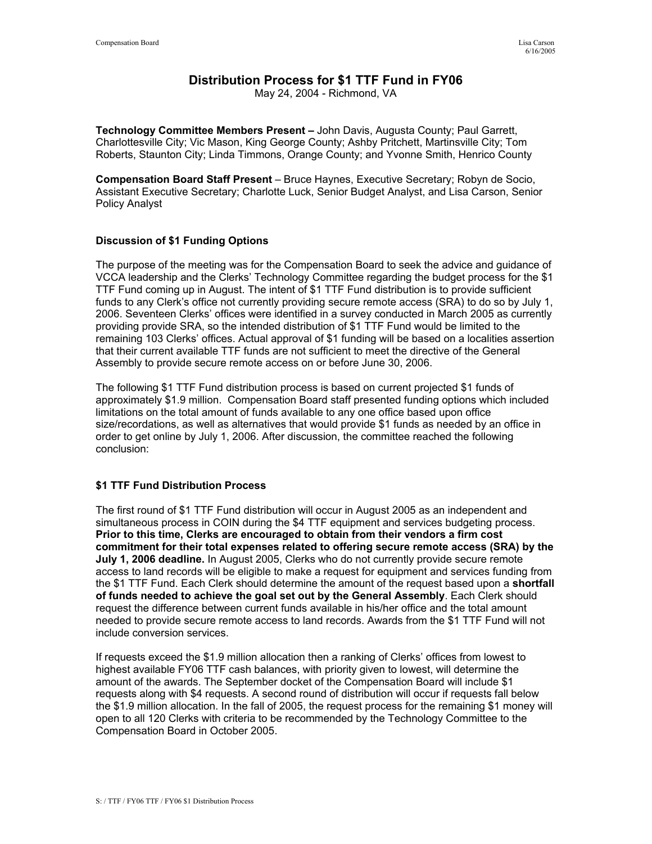# **Distribution Process for \$1 TTF Fund in FY06**

May 24, 2004 - Richmond, VA

**Technology Committee Members Present –** John Davis, Augusta County; Paul Garrett, Charlottesville City; Vic Mason, King George County; Ashby Pritchett, Martinsville City; Tom Roberts, Staunton City; Linda Timmons, Orange County; and Yvonne Smith, Henrico County

**Compensation Board Staff Present** – Bruce Haynes, Executive Secretary; Robyn de Socio, Assistant Executive Secretary; Charlotte Luck, Senior Budget Analyst, and Lisa Carson, Senior Policy Analyst

## **Discussion of \$1 Funding Options**

The purpose of the meeting was for the Compensation Board to seek the advice and guidance of VCCA leadership and the Clerks' Technology Committee regarding the budget process for the \$1 TTF Fund coming up in August. The intent of \$1 TTF Fund distribution is to provide sufficient funds to any Clerk's office not currently providing secure remote access (SRA) to do so by July 1, 2006. Seventeen Clerks' offices were identified in a survey conducted in March 2005 as currently providing provide SRA, so the intended distribution of \$1 TTF Fund would be limited to the remaining 103 Clerks' offices. Actual approval of \$1 funding will be based on a localities assertion that their current available TTF funds are not sufficient to meet the directive of the General Assembly to provide secure remote access on or before June 30, 2006.

The following \$1 TTF Fund distribution process is based on current projected \$1 funds of approximately \$1.9 million. Compensation Board staff presented funding options which included limitations on the total amount of funds available to any one office based upon office size/recordations, as well as alternatives that would provide \$1 funds as needed by an office in order to get online by July 1, 2006. After discussion, the committee reached the following conclusion:

## **\$1 TTF Fund Distribution Process**

The first round of \$1 TTF Fund distribution will occur in August 2005 as an independent and simultaneous process in COIN during the \$4 TTF equipment and services budgeting process. **Prior to this time, Clerks are encouraged to obtain from their vendors a firm cost commitment for their total expenses related to offering secure remote access (SRA) by the July 1, 2006 deadline.** In August 2005, Clerks who do not currently provide secure remote access to land records will be eligible to make a request for equipment and services funding from the \$1 TTF Fund. Each Clerk should determine the amount of the request based upon a **shortfall of funds needed to achieve the goal set out by the General Assembly**. Each Clerk should request the difference between current funds available in his/her office and the total amount needed to provide secure remote access to land records. Awards from the \$1 TTF Fund will not include conversion services.

If requests exceed the \$1.9 million allocation then a ranking of Clerks' offices from lowest to highest available FY06 TTF cash balances, with priority given to lowest, will determine the amount of the awards. The September docket of the Compensation Board will include \$1 requests along with \$4 requests. A second round of distribution will occur if requests fall below the \$1.9 million allocation. In the fall of 2005, the request process for the remaining \$1 money will open to all 120 Clerks with criteria to be recommended by the Technology Committee to the Compensation Board in October 2005.